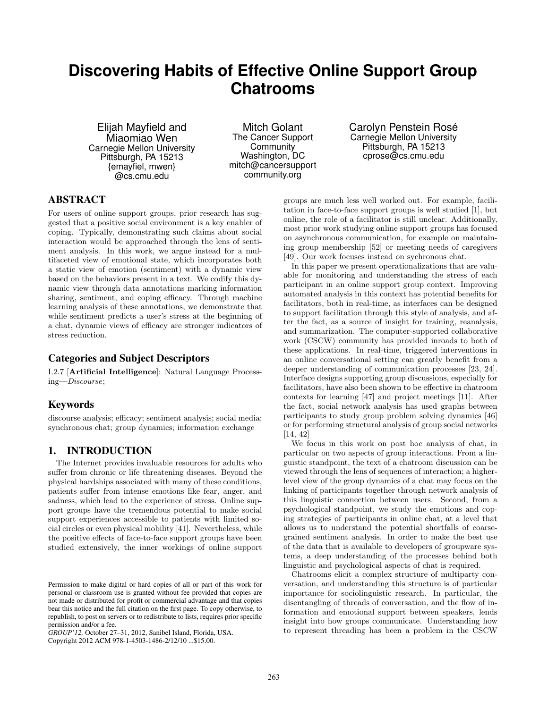# **Discovering Habits of Effective Online Support Group Chatrooms**

Elijah Mayfield and Miaomiao Wen Carnegie Mellon University Pittsburgh, PA 15213 {emayfiel, mwen} @cs.cmu.edu

Mitch Golant The Cancer Support **Community** Washington, DC mitch@cancersupport community.org

Carolyn Penstein Rosé Carnegie Mellon University Pittsburgh, PA 15213 cprose@cs.cmu.edu

# ABSTRACT

For users of online support groups, prior research has suggested that a positive social environment is a key enabler of coping. Typically, demonstrating such claims about social interaction would be approached through the lens of sentiment analysis. In this work, we argue instead for a multifaceted view of emotional state, which incorporates both a static view of emotion (sentiment) with a dynamic view based on the behaviors present in a text. We codify this dynamic view through data annotations marking information sharing, sentiment, and coping efficacy. Through machine learning analysis of these annotations, we demonstrate that while sentiment predicts a user's stress at the beginning of a chat, dynamic views of efficacy are stronger indicators of stress reduction.

# Categories and Subject Descriptors

I.2.7 [Artificial Intelligence]: Natural Language Processing—Discourse;

# Keywords

discourse analysis; efficacy; sentiment analysis; social media; synchronous chat; group dynamics; information exchange

# 1. INTRODUCTION

The Internet provides invaluable resources for adults who suffer from chronic or life threatening diseases. Beyond the physical hardships associated with many of these conditions, patients suffer from intense emotions like fear, anger, and sadness, which lead to the experience of stress. Online support groups have the tremendous potential to make social support experiences accessible to patients with limited social circles or even physical mobility [41]. Nevertheless, while the positive effects of face-to-face support groups have been studied extensively, the inner workings of online support

*GROUP'12,* October 27–31, 2012, Sanibel Island, Florida, USA.

Copyright 2012 ACM 978-1-4503-1486-2/12/10 ...\$15.00.

groups are much less well worked out. For example, facilitation in face-to-face support groups is well studied [1], but online, the role of a facilitator is still unclear. Additionally, most prior work studying online support groups has focused on asynchronous communication, for example on maintaining group membership [52] or meeting needs of caregivers [49]. Our work focuses instead on sychronous chat.

In this paper we present operationalizations that are valuable for monitoring and understanding the stress of each participant in an online support group context. Improving automated analysis in this context has potential benefits for facilitators, both in real-time, as interfaces can be designed to support facilitation through this style of analysis, and after the fact, as a source of insight for training, reanalysis, and summarization. The computer-supported collaborative work (CSCW) community has provided inroads to both of these applications. In real-time, triggered interventions in an online conversational setting can greatly benefit from a deeper understanding of communication processes [23, 24]. Interface designs supporting group discussions, especially for facilitators, have also been shown to be effective in chatroom contexts for learning [47] and project meetings [11]. After the fact, social network analysis has used graphs between participants to study group problem solving dynamics [46] or for performing structural analysis of group social networks [14, 42]

We focus in this work on post hoc analysis of chat, in particular on two aspects of group interactions. From a linguistic standpoint, the text of a chatroom discussion can be viewed through the lens of sequences of interaction; a higherlevel view of the group dynamics of a chat may focus on the linking of participants together through network analysis of this linguistic connection between users. Second, from a psychological standpoint, we study the emotions and coping strategies of participants in online chat, at a level that allows us to understand the potential shortfalls of coarsegrained sentiment analysis. In order to make the best use of the data that is available to developers of groupware systems, a deep understanding of the processes behind both linguistic and psychological aspects of chat is required.

Chatrooms elicit a complex structure of multiparty conversation, and understanding this structure is of particular importance for sociolinguistic research. In particular, the disentangling of threads of conversation, and the flow of information and emotional support between speakers, lends insight into how groups communicate. Understanding how to represent threading has been a problem in the CSCW

Permission to make digital or hard copies of all or part of this work for personal or classroom use is granted without fee provided that copies are not made or distributed for profit or commercial advantage and that copies bear this notice and the full citation on the first page. To copy otherwise, to republish, to post on servers or to redistribute to lists, requires prior specific permission and/or a fee.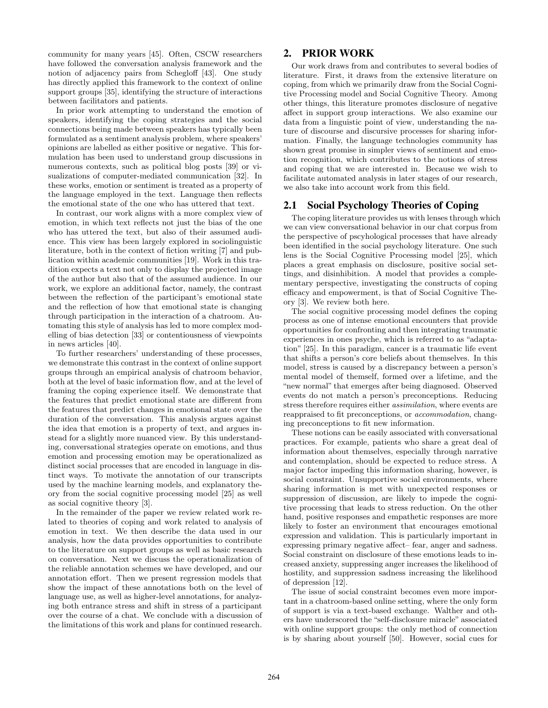community for many years [45]. Often, CSCW researchers have followed the conversation analysis framework and the notion of adjacency pairs from Schegloff [43]. One study has directly applied this framework to the context of online support groups [35], identifying the structure of interactions between facilitators and patients.

In prior work attempting to understand the emotion of speakers, identifying the coping strategies and the social connections being made between speakers has typically been formulated as a sentiment analysis problem, where speakers' opinions are labelled as either positive or negative. This formulation has been used to understand group discussions in numerous contexts, such as political blog posts [39] or visualizations of computer-mediated communication [32]. In these works, emotion or sentiment is treated as a property of the language employed in the text. Language then reflects the emotional state of the one who has uttered that text.

In contrast, our work aligns with a more complex view of emotion, in which text reflects not just the bias of the one who has uttered the text, but also of their assumed audience. This view has been largely explored in sociolinguistic literature, both in the context of fiction writing [7] and publication within academic communities [19]. Work in this tradition expects a text not only to display the projected image of the author but also that of the assumed audience. In our work, we explore an additional factor, namely, the contrast between the reflection of the participant's emotional state and the reflection of how that emotional state is changing through participation in the interaction of a chatroom. Automating this style of analysis has led to more complex modelling of bias detection [33] or contentiousness of viewpoints in news articles [40].

To further researchers' understanding of these processes, we demonstrate this contrast in the context of online support groups through an empirical analysis of chatroom behavior, both at the level of basic information flow, and at the level of framing the coping experience itself. We demonstrate that the features that predict emotional state are different from the features that predict changes in emotional state over the duration of the conversation. This analysis argues against the idea that emotion is a property of text, and argues instead for a slightly more nuanced view. By this understanding, conversational strategies operate on emotions, and thus emotion and processing emotion may be operationalized as distinct social processes that are encoded in language in distinct ways. To motivate the annotation of our transcripts used by the machine learning models, and explanatory theory from the social cognitive processing model [25] as well as social cognitive theory [3].

In the remainder of the paper we review related work related to theories of coping and work related to analysis of emotion in text. We then describe the data used in our analysis, how the data provides opportunities to contribute to the literature on support groups as well as basic research on conversation. Next we discuss the operationalization of the reliable annotation schemes we have developed, and our annotation effort. Then we present regression models that show the impact of these annotations both on the level of language use, as well as higher-level annotations, for analyzing both entrance stress and shift in stress of a participant over the course of a chat. We conclude with a discussion of the limitations of this work and plans for continued research.

## 2. PRIOR WORK

Our work draws from and contributes to several bodies of literature. First, it draws from the extensive literature on coping, from which we primarily draw from the Social Cognitive Processing model and Social Cognitive Theory. Among other things, this literature promotes disclosure of negative affect in support group interactions. We also examine our data from a linguistic point of view, understanding the nature of discourse and discursive processes for sharing information. Finally, the language technologies community has shown great promise in simpler views of sentiment and emotion recognition, which contributes to the notions of stress and coping that we are interested in. Because we wish to facilitate automated analysis in later stages of our research, we also take into account work from this field.

# 2.1 Social Psychology Theories of Coping

The coping literature provides us with lenses through which we can view conversational behavior in our chat corpus from the perspective of pscyhological processes that have already been identified in the social psychology literature. One such lens is the Social Cognitive Processing model [25], which places a great emphasis on disclosure, positive social settings, and disinhibition. A model that provides a complementary perspective, investigating the constructs of coping efficacy and empowerment, is that of Social Cognitive Theory [3]. We review both here.

The social cognitive processing model defines the coping process as one of intense emotional encounters that provide opportunities for confronting and then integrating traumatic experiences in ones psyche, which is referred to as "adaptation" [25]. In this paradigm, cancer is a traumatic life event that shifts a person's core beliefs about themselves. In this model, stress is caused by a discrepancy between a person's mental model of themself, formed over a lifetime, and the "new normal" that emerges after being diagnosed. Observed events do not match a person's preconceptions. Reducing stress therefore requires either assimilation, where events are reappraised to fit preconceptions, or accommodation, changing preconceptions to fit new information.

These notions can be easily associated with conversational practices. For example, patients who share a great deal of information about themselves, especially through narrative and contemplation, should be expected to reduce stress. A major factor impeding this information sharing, however, is social constraint. Unsupportive social environments, where sharing information is met with unexpected responses or suppression of discussion, are likely to impede the cognitive processing that leads to stress reduction. On the other hand, positive responses and empathetic responses are more likely to foster an environment that encourages emotional expression and validation. This is particularly important in expressing primary negative affect– fear, anger and sadness. Social constraint on disclosure of these emotions leads to increased anxiety, suppressing anger increases the likelihood of hostility, and suppression sadness increasing the likelihood of depression [12].

The issue of social constraint becomes even more important in a chatroom-based online setting, where the only form of support is via a text-based exchange. Walther and others have underscored the "self-disclosure miracle" associated with online support groups: the only method of connection is by sharing about yourself [50]. However, social cues for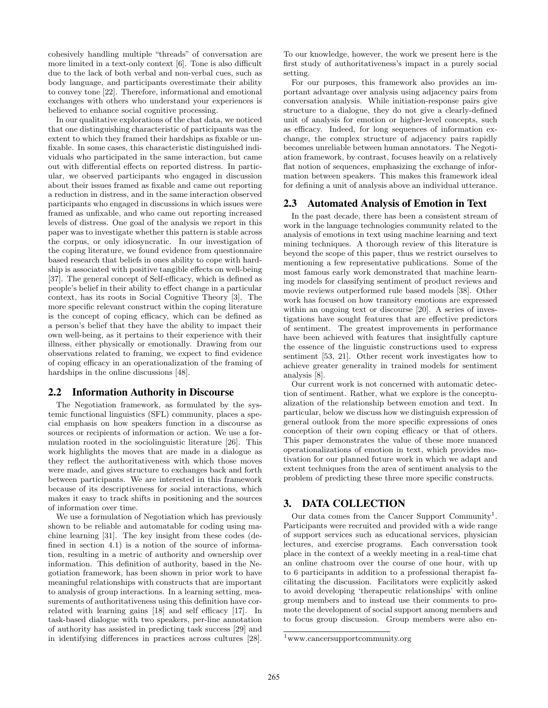cohesively handling multiple "threads" of conversation are more limited in a text-only context [6]. Tone is also difficult due to the lack of both verbal and non-verbal cues, such as body language, and participants overestimate their ability to convey tone [22]. Therefore, informational and emotional exchanges with others who understand your experiences is believed to enhance social cognitive processing.

In our qualitative explorations of the chat data, we noticed that one distinguishing characteristic of participants was the extent to which they framed their hardships as fixable or unfixable. In some cases, this characteristic distinguished individuals who participated in the same interaction, but came out with differential effects on reported distress. In particular, we observed participants who engaged in discussion about their issues framed as fixable and came out reporting a reduction in distress, and in the same interaction observed participants who engaged in discussions in which issues were framed as unfixable, and who came out reporting increased levels of distress. One goal of the analysis we report in this paper was to investigate whether this pattern is stable across the corpus, or only idiosyncratic. In our investigation of the coping literature, we found evidence from questionnaire based research that beliefs in ones ability to cope with hardship is associated with positive tangible effects on well-being [37]. The general concept of Self-efficacy, which is defined as people's belief in their ability to effect change in a particular context, has its roots in Social Cognitive Theory [3]. The more specific relevant construct within the coping literature is the concept of coping efficacy, which can be defined as a person's belief that they have the ability to impact their own well-being, as it pertains to their experience with their illness, either physically or emotionally. Drawing from our observations related to framing, we expect to find evidence of coping efficacy in an operationalization of the framing of hardships in the online discussions [48].

## 2.2 Information Authority in Discourse

The Negotiation framework, as formulated by the systemic functional linguistics (SFL) community, places a special emphasis on how speakers function in a discourse as sources or recipients of information or action. We use a formulation rooted in the sociolinguistic literature [26]. This work highlights the moves that are made in a dialogue as they reflect the authoritativeness with which those moves were made, and gives structure to exchanges back and forth between participants. We are interested in this framework because of its descriptiveness for social interactions, which makes it easy to track shifts in positioning and the sources of information over time.

We use a formulation of Negotiation which has previously shown to be reliable and automatable for coding using machine learning [31]. The key insight from these codes (defined in section 4.1) is a notion of the source of information, resulting in a metric of authority and ownership over information. This definition of authority, based in the Negotiation framework, has been shown in prior work to have meaningful relationships with constructs that are important to analysis of group interactions. In a learning setting, measurements of authoritativeness using this definition have correlated with learning gains [18] and self efficacy [17]. In task-based dialogue with two speakers, per-line annotation of authority has assisted in predicting task success [29] and in identifying differences in practices across cultures [28]. To our knowledge, however, the work we present here is the first study of authoritativeness's impact in a purely social setting.

For our purposes, this framework also provides an important advantage over analysis using adjacency pairs from conversation analysis. While initiation-response pairs give structure to a dialogue, they do not give a clearly-defined unit of analysis for emotion or higher-level concepts, such as efficacy. Indeed, for long sequences of information exchange, the complex structure of adjacency pairs rapidly becomes unreliable between human annotators. The Negotiation framework, by contrast, focuses heavily on a relatively flat notion of sequences, emphasizing the exchange of information between speakers. This makes this framework ideal for defining a unit of analysis above an individual utterance.

#### 2.3 Automated Analysis of Emotion in Text

In the past decade, there has been a consistent stream of work in the language technologies community related to the analysis of emotions in text using machine learning and text mining techniques. A thorough review of this literature is beyond the scope of this paper, thus we restrict ourselves to mentioning a few representative publications. Some of the most famous early work demonstrated that machine learning models for classifying sentiment of product reviews and movie reviews outperformed rule based models [38]. Other work has focused on how transitory emotions are expressed within an ongoing text or discourse [20]. A series of investigations have sought features that are effective predictors of sentiment. The greatest improvements in performance have been achieved with features that insightfully capture the essence of the linguistic constructions used to express sentiment [53, 21]. Other recent work investigates how to achieve greater generality in trained models for sentiment analysis [8].

Our current work is not concerned with automatic detection of sentiment. Rather, what we explore is the conceptualization of the relationship between emotion and text. In particular, below we discuss how we distinguish expression of general outlook from the more specific expressions of ones conception of their own coping efficacy or that of others. This paper demonstrates the value of these more nuanced operationalizations of emotion in text, which provides motivation for our planned future work in which we adapt and extent techniques from the area of sentiment analysis to the problem of predicting these three more specific constructs.

## 3. DATA COLLECTION

Our data comes from the Cancer Support Community<sup>1</sup>. Participants were recruited and provided with a wide range of support services such as educational services, physician lectures, and exercise programs. Each conversation took place in the context of a weekly meeting in a real-time chat an online chatroom over the course of one hour, with up to 6 participants in addition to a professional therapist facilitating the discussion. Facilitators were explicitly asked to avoid developing 'therapeutic relationships' with online group members and to instead use their comments to promote the development of social support among members and to focus group discussion. Group members were also en-

<sup>1</sup>www.cancersupportcommunity.org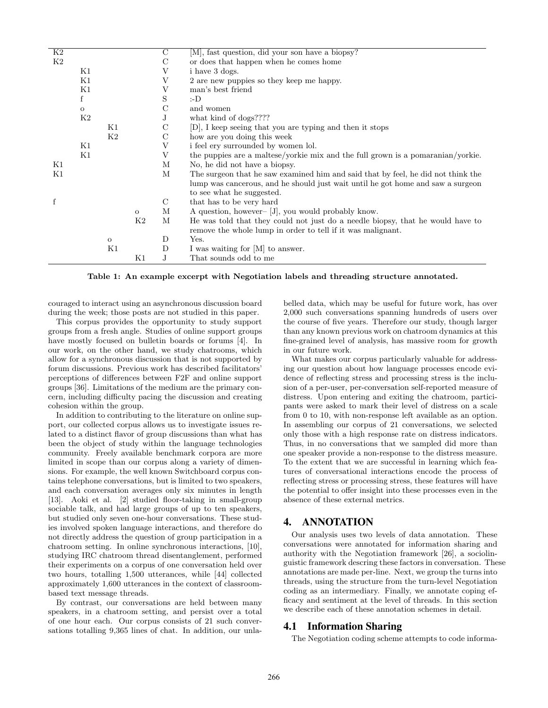| K2 |         |              |              | С             | [M], fast question, did your son have a biopsy?                                  |
|----|---------|--------------|--------------|---------------|----------------------------------------------------------------------------------|
| K2 |         |              |              | $\mathcal{C}$ | or does that happen when he comes home                                           |
|    | Κ1      |              |              | V             | i have 3 dogs.                                                                   |
|    | Κ1      |              |              | V             | 2 are new puppies so they keep me happy.                                         |
|    | K1      |              |              | V             | man's best friend                                                                |
|    | f       |              |              | S             | :-D                                                                              |
|    | $\circ$ |              |              | С             | and women                                                                        |
|    | K2      |              |              | J             | what kind of dogs????                                                            |
|    |         | Κ1           |              | $\mathcal{C}$ | [D], I keep seeing that you are typing and then it stops                         |
|    |         | K2           |              | $\mathcal{C}$ | how are you doing this week                                                      |
|    | Κ1      |              |              | V             | i feel ery surrounded by women lol.                                              |
|    | K1      |              |              | V             | the puppies are a maltese/yorkie mix and the full grown is a pomaranian/yorkie.  |
| Κ1 |         |              |              | М             | No, he did not have a biopsy.                                                    |
| Κ1 |         |              |              | М             | The surgeon that he saw examined him and said that by feel, he did not think the |
|    |         |              |              |               | lump was cancerous, and he should just wait until he got home and saw a surgeon  |
|    |         |              |              |               | to see what he suggested.                                                        |
| f  |         |              |              | С             | that has to be very hard                                                         |
|    |         |              | $\mathbf{o}$ | М             | A question, however- [J], you would probably know.                               |
|    |         |              | K2           | М             | He was told that they could not just do a needle biopsy, that he would have to   |
|    |         |              |              |               | remove the whole lump in order to tell if it was malignant.                      |
|    |         | $\mathbf{O}$ |              | D             | Yes.                                                                             |
|    |         | K1           |              | D             | I was waiting for [M] to answer.                                                 |
|    |         |              | Κ1           | J.            | That sounds odd to me                                                            |

Table 1: An example excerpt with Negotiation labels and threading structure annotated.

couraged to interact using an asynchronous discussion board during the week; those posts are not studied in this paper.

This corpus provides the opportunity to study support groups from a fresh angle. Studies of online support groups have mostly focused on bulletin boards or forums [4]. In our work, on the other hand, we study chatrooms, which allow for a synchronous discussion that is not supported by forum discussions. Previous work has described facilitators' perceptions of differences between F2F and online support groups [36]. Limitations of the medium are the primary concern, including difficulty pacing the discussion and creating cohesion within the group.

In addition to contributing to the literature on online support, our collected corpus allows us to investigate issues related to a distinct flavor of group discussions than what has been the object of study within the language technologies community. Freely available benchmark corpora are more limited in scope than our corpus along a variety of dimensions. For example, the well known Switchboard corpus contains telephone conversations, but is limited to two speakers, and each conversation averages only six minutes in length [13]. Aoki et al. [2] studied floor-taking in small-group sociable talk, and had large groups of up to ten speakers, but studied only seven one-hour conversations. These studies involved spoken language interactions, and therefore do not directly address the question of group participation in a chatroom setting. In online synchronous interactions, [10], studying IRC chatroom thread disentanglement, performed their experiments on a corpus of one conversation held over two hours, totalling 1,500 utterances, while [44] collected approximately 1,600 utterances in the context of classroombased text message threads.

By contrast, our conversations are held between many speakers, in a chatroom setting, and persist over a total of one hour each. Our corpus consists of 21 such conversations totalling 9,365 lines of chat. In addition, our unlabelled data, which may be useful for future work, has over 2,000 such conversations spanning hundreds of users over the course of five years. Therefore our study, though larger than any known previous work on chatroom dynamics at this fine-grained level of analysis, has massive room for growth in our future work.

What makes our corpus particularly valuable for addressing our question about how language processes encode evidence of reflecting stress and processing stress is the inclusion of a per-user, per-conversation self-reported measure of distress. Upon entering and exiting the chatroom, participants were asked to mark their level of distress on a scale from 0 to 10, with non-response left available as an option. In assembling our corpus of 21 conversations, we selected only those with a high response rate on distress indicators. Thus, in no conversations that we sampled did more than one speaker provide a non-response to the distress measure. To the extent that we are successful in learning which features of conversational interactions encode the process of reflecting stress or processing stress, these features will have the potential to offer insight into these processes even in the absence of these external metrics.

# 4. ANNOTATION

Our analysis uses two levels of data annotation. These conversations were annotated for information sharing and authority with the Negotiation framework [26], a sociolinguistic framework descring these factors in conversation. These annotations are made per-line. Next, we group the turns into threads, using the structure from the turn-level Negotiation coding as an intermediary. Finally, we annotate coping efficacy and sentiment at the level of threads. In this section we describe each of these annotation schemes in detail.

# 4.1 Information Sharing

The Negotiation coding scheme attempts to code informa-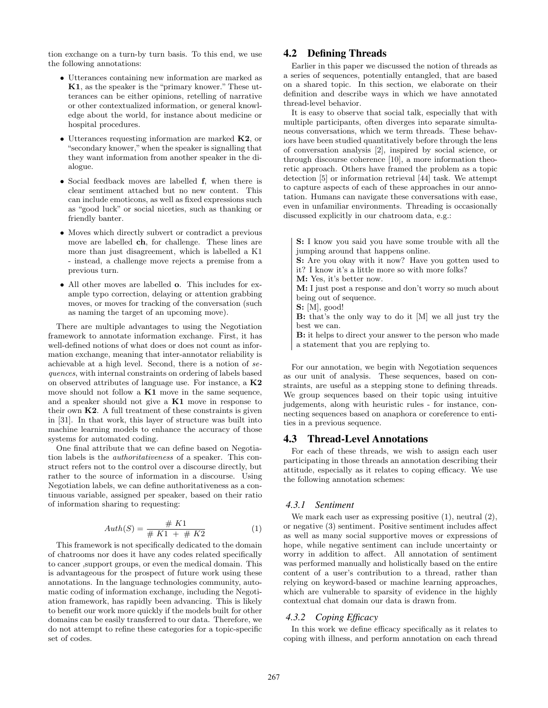tion exchange on a turn-by turn basis. To this end, we use the following annotations:

- Utterances containing new information are marked as K1, as the speaker is the "primary knower." These utterances can be either opinions, retelling of narrative or other contextualized information, or general knowledge about the world, for instance about medicine or hospital procedures.
- Utterances requesting information are marked  $K2$ , or "secondary knower,"when the speaker is signalling that they want information from another speaker in the dialogue.
- Social feedback moves are labelled f, when there is clear sentiment attached but no new content. This can include emoticons, as well as fixed expressions such as "good luck" or social niceties, such as thanking or friendly banter.
- Moves which directly subvert or contradict a previous move are labelled ch, for challenge. These lines are more than just disagreement, which is labelled a K1 - instead, a challenge move rejects a premise from a previous turn.
- All other moves are labelled o. This includes for example typo correction, delaying or attention grabbing moves, or moves for tracking of the conversation (such as naming the target of an upcoming move).

There are multiple advantages to using the Negotiation framework to annotate information exchange. First, it has well-defined notions of what does or does not count as information exchange, meaning that inter-annotator reliability is achievable at a high level. Second, there is a notion of sequences, with internal constraints on ordering of labels based on observed attributes of language use. For instance, a K2 move should not follow a  $K1$  move in the same sequence, and a speaker should not give a K1 move in response to their own  $K2$ . A full treatment of these constraints is given in [31]. In that work, this layer of structure was built into machine learning models to enhance the accuracy of those systems for automated coding.

One final attribute that we can define based on Negotiation labels is the authoritativeness of a speaker. This construct refers not to the control over a discourse directly, but rather to the source of information in a discourse. Using Negotiation labels, we can define authoritativeness as a continuous variable, assigned per speaker, based on their ratio of information sharing to requesting:

$$
Auth(S) = \frac{\# K1}{\# K1 + \# K2}
$$
 (1)

This framework is not specifically dedicated to the domain of chatrooms nor does it have any codes related specifically to cancer ,support groups, or even the medical domain. This is advantageous for the prospect of future work using these annotations. In the language technologies community, automatic coding of information exchange, including the Negotiation framework, has rapidly been advancing. This is likely to benefit our work more quickly if the models built for other domains can be easily transferred to our data. Therefore, we do not attempt to refine these categories for a topic-specific set of codes.

# 4.2 Defining Threads

Earlier in this paper we discussed the notion of threads as a series of sequences, potentially entangled, that are based on a shared topic. In this section, we elaborate on their definition and describe ways in which we have annotated thread-level behavior.

It is easy to observe that social talk, especially that with multiple participants, often diverges into separate simultaneous conversations, which we term threads. These behaviors have been studied quantitatively before through the lens of conversation analysis [2], inspired by social science, or through discourse coherence [10], a more information theoretic approach. Others have framed the problem as a topic detection [5] or information retrieval [44] task. We attempt to capture aspects of each of these approaches in our annotation. Humans can navigate these conversations with ease, even in unfamiliar environments. Threading is occasionally discussed explicitly in our chatroom data, e.g.:

- S: I know you said you have some trouble with all the jumping around that happens online.
- S: Are you okay with it now? Have you gotten used to it? I know it's a little more so with more folks?

M: Yes, it's better now.

M: I just post a response and don't worry so much about being out of sequence.

S: [M], good!

B: that's the only way to do it [M] we all just try the best we can.

B: it helps to direct your answer to the person who made a statement that you are replying to.

For our annotation, we begin with Negotiation sequences as our unit of analysis. These sequences, based on constraints, are useful as a stepping stone to defining threads. We group sequences based on their topic using intuitive judgements, along with heuristic rules - for instance, connecting sequences based on anaphora or coreference to entities in a previous sequence.

#### 4.3 Thread-Level Annotations

For each of these threads, we wish to assign each user participating in those threads an annotation describing their attitude, especially as it relates to coping efficacy. We use the following annotation schemes:

#### *4.3.1 Sentiment*

We mark each user as expressing positive  $(1)$ , neutral  $(2)$ , or negative (3) sentiment. Positive sentiment includes affect as well as many social supportive moves or expressions of hope, while negative sentiment can include uncertainty or worry in addition to affect. All annotation of sentiment was performed manually and holistically based on the entire content of a user's contribution to a thread, rather than relying on keyword-based or machine learning approaches, which are vulnerable to sparsity of evidence in the highly contextual chat domain our data is drawn from.

#### *4.3.2 Coping Efficacy*

In this work we define efficacy specifically as it relates to coping with illness, and perform annotation on each thread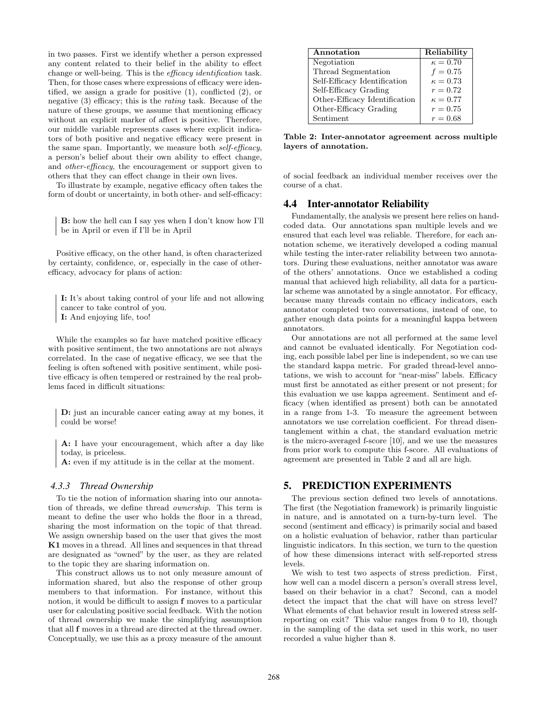in two passes. First we identify whether a person expressed any content related to their belief in the ability to effect change or well-being. This is the efficacy identification task. Then, for those cases where expressions of efficacy were identified, we assign a grade for positive (1), conflicted (2), or negative (3) efficacy; this is the rating task. Because of the nature of these groups, we assume that mentioning efficacy without an explicit marker of affect is positive. Therefore, our middle variable represents cases where explicit indicators of both positive and negative efficacy were present in the same span. Importantly, we measure both self-efficacy, a person's belief about their own ability to effect change, and other-efficacy, the encouragement or support given to others that they can effect change in their own lives.

To illustrate by example, negative efficacy often takes the form of doubt or uncertainty, in both other- and self-efficacy:

B: how the hell can I say yes when I don't know how I'll be in April or even if I'll be in April

Positive efficacy, on the other hand, is often characterized by certainty, confidence, or, especially in the case of otherefficacy, advocacy for plans of action:

I: It's about taking control of your life and not allowing cancer to take control of you. I: And enjoying life, too!

While the examples so far have matched positive efficacy with positive sentiment, the two annotations are not always correlated. In the case of negative efficacy, we see that the feeling is often softened with positive sentiment, while positive efficacy is often tempered or restrained by the real problems faced in difficult situations:

D: just an incurable cancer eating away at my bones, it could be worse!

A: I have your encouragement, which after a day like today, is priceless.

A: even if my attitude is in the cellar at the moment.

#### *4.3.3 Thread Ownership*

To tie the notion of information sharing into our annotation of threads, we define thread ownership. This term is meant to define the user who holds the floor in a thread, sharing the most information on the topic of that thread. We assign ownership based on the user that gives the most K1 moves in a thread. All lines and sequences in that thread are designated as "owned" by the user, as they are related to the topic they are sharing information on.

This construct allows us to not only measure amount of information shared, but also the response of other group members to that information. For instance, without this notion, it would be difficult to assign f moves to a particular user for calculating positive social feedback. With the notion of thread ownership we make the simplifying assumption that all f moves in a thread are directed at the thread owner. Conceptually, we use this as a proxy measure of the amount

| Annotation                    | Reliability     |
|-------------------------------|-----------------|
| Negotiation                   | $\kappa = 0.70$ |
| Thread Segmentation           | $f = 0.75$      |
| Self-Efficacy Identification  | $\kappa = 0.73$ |
| Self-Efficacy Grading         | $r = 0.72$      |
| Other-Efficacy Identification | $\kappa = 0.77$ |
| Other-Efficacy Grading        | $r = 0.75$      |
| Sentiment                     | $r = 0.68$      |

Table 2: Inter-annotator agreement across multiple layers of annotation.

of social feedback an individual member receives over the course of a chat.

#### 4.4 Inter-annotator Reliability

Fundamentally, the analysis we present here relies on handcoded data. Our annotations span multiple levels and we ensured that each level was reliable. Therefore, for each annotation scheme, we iteratively developed a coding manual while testing the inter-rater reliability between two annotators. During these evaluations, neither annotator was aware of the others' annotations. Once we established a coding manual that achieved high reliability, all data for a particular scheme was annotated by a single annotator. For efficacy, because many threads contain no efficacy indicators, each annotator completed two conversations, instead of one, to gather enough data points for a meaningful kappa between annotators.

Our annotations are not all performed at the same level and cannot be evaluated identically. For Negotiation coding, each possible label per line is independent, so we can use the standard kappa metric. For graded thread-level annotations, we wish to account for "near-miss" labels. Efficacy must first be annotated as either present or not present; for this evaluation we use kappa agreement. Sentiment and efficacy (when identified as present) both can be annotated in a range from 1-3. To measure the agreement between annotators we use correlation coefficient. For thread disentanglement within a chat, the standard evaluation metric is the micro-averaged f-score [10], and we use the measures from prior work to compute this f-score. All evaluations of agreement are presented in Table 2 and all are high.

# 5. PREDICTION EXPERIMENTS

The previous section defined two levels of annotations. The first (the Negotiation framework) is primarily linguistic in nature, and is annotated on a turn-by-turn level. The second (sentiment and efficacy) is primarily social and based on a holistic evaluation of behavior, rather than particular linguistic indicators. In this section, we turn to the question of how these dimensions interact with self-reported stress levels.

We wish to test two aspects of stress prediction. First, how well can a model discern a person's overall stress level, based on their behavior in a chat? Second, can a model detect the impact that the chat will have on stress level? What elements of chat behavior result in lowered stress selfreporting on exit? This value ranges from 0 to 10, though in the sampling of the data set used in this work, no user recorded a value higher than 8.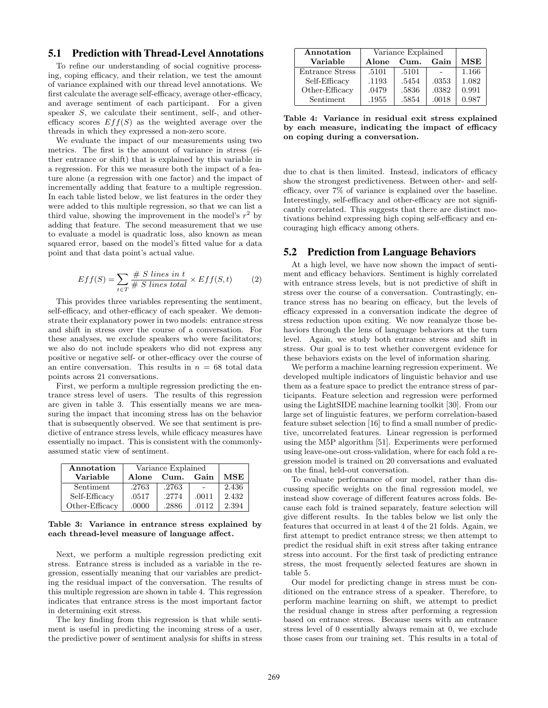# 5.1 Prediction with Thread-Level Annotations

To refine our understanding of social cognitive processing, coping efficacy, and their relation, we test the amount of variance explained with our thread level annotations. We first calculate the average self-efficacy, average other-efficacy, and average sentiment of each participant. For a given speaker S, we calculate their sentiment, self-, and otherefficacy scores  $Eff(S)$  as the weighted average over the threads in which they expressed a non-zero score.

We evaluate the impact of our measurements using two metrics. The first is the amount of variance in stress (either entrance or shift) that is explained by this variable in a regression. For this we measure both the impact of a feature alone (a regression with one factor) and the impact of incrementally adding that feature to a multiple regression. In each table listed below, we list features in the order they were added to this multiple regression, so that we can list a third value, showing the improvement in the model's  $r^2$  by adding that feature. The second measurement that we use to evaluate a model is quadratic loss, also known as mean squared error, based on the model's fitted value for a data point and that data point's actual value.

$$
Eff(S) = \sum_{t \in T} \frac{\# \ S \ lines \ in \ t}{\# \ S \ lines \ total} \times Eff(S, t)
$$
 (2)

This provides three variables representing the sentiment, self-efficacy, and other-efficacy of each speaker. We demonstrate their explanatory power in two models: entrance stress and shift in stress over the course of a conversation. For these analyses, we exclude speakers who were facilitators; we also do not include speakers who did not express any positive or negative self- or other-efficacy over the course of an entire conversation. This results in  $n = 68$  total data points across 21 conversations.

First, we perform a multiple regression predicting the entrance stress level of users. The results of this regression are given in table 3. This essentially means we are measuring the impact that incoming stress has on the behavior that is subsequently observed. We see that sentiment is predictive of entrance stress levels, while efficacy measures have essentially no impact. This is consistent with the commonlyassumed static view of sentiment.

| Annotation     | Variance Explained |       |       |            |
|----------------|--------------------|-------|-------|------------|
| Variable       | Alone              | Cum.  | Gain  | <b>MSE</b> |
| Sentiment      | .2763              | .2763 |       | 2.436      |
| Self-Efficacy  | .0517              | .2774 | .0011 | 2.432      |
| Other-Efficacy | .0000              | .2886 | .0112 | 2.394      |

Table 3: Variance in entrance stress explained by each thread-level measure of language affect.

Next, we perform a multiple regression predicting exit stress. Entrance stress is included as a variable in the regression, essentially meaning that our variables are predicting the residual impact of the conversation. The results of this multiple regression are shown in table 4. This regression indicates that entrance stress is the most important factor in determining exit stress.

The key finding from this regression is that while sentiment is useful in predicting the incoming stress of a user, the predictive power of sentiment analysis for shifts in stress

| Annotation      | Variance Explained |       |       |            |
|-----------------|--------------------|-------|-------|------------|
| Variable        | <b>Alone</b>       | Cum.  | Gain  | <b>MSE</b> |
| Entrance Stress | .5101              | .5101 |       | 1.166      |
| Self-Efficacy   | .1193              | .5454 | .0353 | 1.082      |
| Other-Efficacy  | .0479              | .5836 | .0382 | 0.991      |
| Sentiment       | .1955              | .5854 | .0018 | 0.987      |

Table 4: Variance in residual exit stress explained by each measure, indicating the impact of efficacy on coping during a conversation.

due to chat is then limited. Instead, indicators of efficacy show the strongest predictiveness. Between other- and selfefficacy, over 7% of variance is explained over the baseline. Interestingly, self-efficacy and other-efficacy are not significantly correlated. This suggests that there are distinct motivations behind expressing high coping self-efficacy and encouraging high efficacy among others.

#### 5.2 Prediction from Language Behaviors

At a high level, we have now shown the impact of sentiment and efficacy behaviors. Sentiment is highly correlated with entrance stress levels, but is not predictive of shift in stress over the course of a conversation. Contrastingly, entrance stress has no bearing on efficacy, but the levels of efficacy expressed in a conversation indicate the degree of stress reduction upon exiting. We now reanalyze those behaviors through the lens of language behaviors at the turn level. Again, we study both entrance stress and shift in stress. Our goal is to test whether convergent evidence for these behaviors exists on the level of information sharing.

We perform a machine learning regression experiment. We developed multiple indicators of linguistic behavior and use them as a feature space to predict the entrance stress of participants. Feature selection and regression were performed using the LightSIDE machine learning toolkit [30]. From our large set of linguistic features, we perform correlation-based feature subset selection [16] to find a small number of predictive, uncorrelated features. Linear regression is performed using the M5P algorithm [51]. Experiments were performed using leave-one-out cross-validation, where for each fold a regression model is trained on 20 conversations and evaluated on the final, held-out conversation.

To evaluate performance of our model, rather than discussing specific weights on the final regression model, we instead show coverage of different features across folds. Because each fold is trained separately, feature selection will give different results. In the tables below we list only the features that occurred in at least 4 of the 21 folds. Again, we first attempt to predict entrance stress; we then attempt to predict the residual shift in exit stress after taking entrance stress into account. For the first task of predicting entrance stress, the most frequently selected features are shown in table 5.

Our model for predicting change in stress must be conditioned on the entrance stress of a speaker. Therefore, to perform machine learning on shift, we attempt to predict the residual change in stress after performing a regression based on entrance stress. Because users with an entrance stress level of 0 essentially always remain at 0, we exclude those cases from our training set. This results in a total of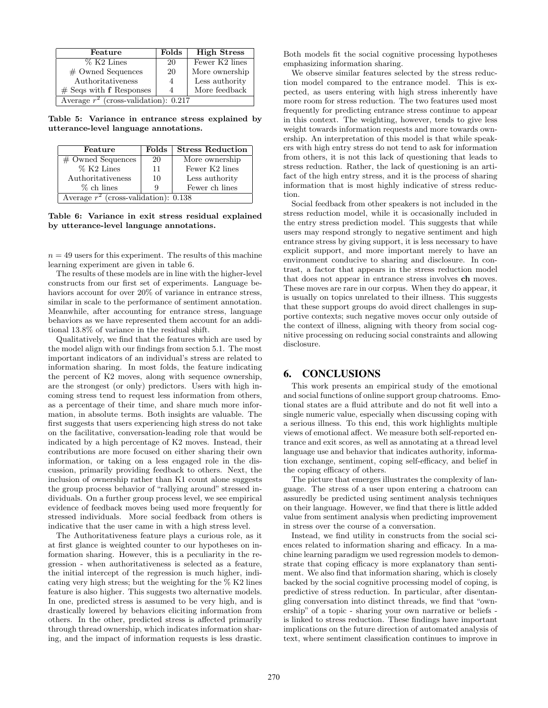| Feature                                    | Folds | <b>High Stress</b> |  |
|--------------------------------------------|-------|--------------------|--|
| $% K2$ Lines                               | 20    | Fewer K2 lines     |  |
| # Owned Sequences                          | 20    | More ownership     |  |
| Authoritativeness                          | 4     | Less authority     |  |
| More feedback<br>$#$ Seqs with f Responses |       |                    |  |
| Average $r^2$ (cross-validation): 0.217    |       |                    |  |

Table 5: Variance in entrance stress explained by utterance-level language annotations.

| Feature                                 | <b>Folds</b> | <b>Stress Reduction</b> |  |  |
|-----------------------------------------|--------------|-------------------------|--|--|
| $\#$ Owned Sequences                    | 20           | More ownership          |  |  |
| % K2 Lines                              | 11           | Fewer K2 lines          |  |  |
| Authoritativeness                       | 10           | Less authority          |  |  |
| $%$ ch lines                            | 9            | Fewer ch lines          |  |  |
| Average $r^2$ (cross-validation): 0.138 |              |                         |  |  |
|                                         |              |                         |  |  |

Table 6: Variance in exit stress residual explained by utterance-level language annotations.

 $n = 49$  users for this experiment. The results of this machine learning experiment are given in table 6.

The results of these models are in line with the higher-level constructs from our first set of experiments. Language behaviors account for over 20% of variance in entrance stress, similar in scale to the performance of sentiment annotation. Meanwhile, after accounting for entrance stress, language behaviors as we have represented them account for an additional 13.8% of variance in the residual shift.

Qualitatively, we find that the features which are used by the model align with our findings from section 5.1. The most important indicators of an individual's stress are related to information sharing. In most folds, the feature indicating the percent of K2 moves, along with sequence ownership, are the strongest (or only) predictors. Users with high incoming stress tend to request less information from others, as a percentage of their time, and share much more information, in absolute terms. Both insights are valuable. The first suggests that users experiencing high stress do not take on the facilitative, conversation-leading role that would be indicated by a high percentage of K2 moves. Instead, their contributions are more focused on either sharing their own information, or taking on a less engaged role in the discussion, primarily providing feedback to others. Next, the inclusion of ownership rather than K1 count alone suggests the group process behavior of "rallying around" stressed individuals. On a further group process level, we see empirical evidence of feedback moves being used more frequently for stressed individuals. More social feedback from others is indicative that the user came in with a high stress level.

The Authoritativeness feature plays a curious role, as it at first glance is weighted counter to our hypotheses on information sharing. However, this is a peculiarity in the regression - when authoritativeness is selected as a feature, the initial intercept of the regression is much higher, indicating very high stress; but the weighting for the  $\%$  K2 lines feature is also higher. This suggests two alternative models. In one, predicted stress is assumed to be very high, and is drastically lowered by behaviors eliciting information from others. In the other, predicted stress is affected primarily through thread ownership, which indicates information sharing, and the impact of information requests is less drastic. Both models fit the social cognitive processing hypotheses emphasizing information sharing.

We observe similar features selected by the stress reduction model compared to the entrance model. This is expected, as users entering with high stress inherently have more room for stress reduction. The two features used most frequently for predicting entrance stress continue to appear in this context. The weighting, however, tends to give less weight towards information requests and more towards ownership. An interpretation of this model is that while speakers with high entry stress do not tend to ask for information from others, it is not this lack of questioning that leads to stress reduction. Rather, the lack of questioning is an artifact of the high entry stress, and it is the process of sharing information that is most highly indicative of stress reduction.

Social feedback from other speakers is not included in the stress reduction model, while it is occasionally included in the entry stress prediction model. This suggests that while users may respond strongly to negative sentiment and high entrance stress by giving support, it is less necessary to have explicit support, and more important merely to have an environment conducive to sharing and disclosure. In contrast, a factor that appears in the stress reduction model that does not appear in entrance stress involves ch moves. These moves are rare in our corpus. When they do appear, it is usually on topics unrelated to their illness. This suggests that these support groups do avoid direct challenges in supportive contexts; such negative moves occur only outside of the context of illness, aligning with theory from social cognitive processing on reducing social constraints and allowing disclosure.

# 6. CONCLUSIONS

This work presents an empirical study of the emotional and social functions of online support group chatrooms. Emotional states are a fluid attribute and do not fit well into a single numeric value, especially when discussing coping with a serious illness. To this end, this work highlights multiple views of emotional affect. We measure both self-reported entrance and exit scores, as well as annotating at a thread level language use and behavior that indicates authority, information exchange, sentiment, coping self-efficacy, and belief in the coping efficacy of others.

The picture that emerges illustrates the complexity of language. The stress of a user upon entering a chatroom can assuredly be predicted using sentiment analysis techniques on their language. However, we find that there is little added value from sentiment analysis when predicting improvement in stress over the course of a conversation.

Instead, we find utility in constructs from the social sciences related to information sharing and efficacy. In a machine learning paradigm we used regression models to demonstrate that coping efficacy is more explanatory than sentiment. We also find that information sharing, which is closely backed by the social cognitive processing model of coping, is predictive of stress reduction. In particular, after disentangling conversation into distinct threads, we find that "ownership" of a topic - sharing your own narrative or beliefs is linked to stress reduction. These findings have important implications on the future direction of automated analysis of text, where sentiment classification continues to improve in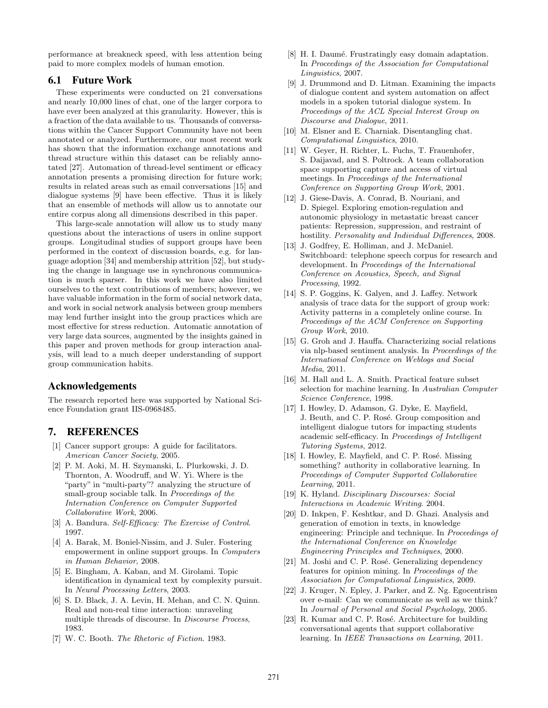performance at breakneck speed, with less attention being paid to more complex models of human emotion.

# 6.1 Future Work

These experiments were conducted on 21 conversations and nearly 10,000 lines of chat, one of the larger corpora to have ever been analyzed at this granularity. However, this is a fraction of the data available to us. Thousands of conversations within the Cancer Support Community have not been annotated or analyzed. Furthermore, our most recent work has shown that the information exchange annotations and thread structure within this dataset can be reliably annotated [27]. Automation of thread-level sentiment or efficacy annotation presents a promising direction for future work; results in related areas such as email conversations [15] and dialogue systems [9] have been effective. Thus it is likely that an ensemble of methods will allow us to annotate our entire corpus along all dimensions described in this paper.

This large-scale annotation will allow us to study many questions about the interactions of users in online support groups. Longitudinal studies of support groups have been performed in the context of discussion boards, e.g. for language adoption [34] and membership attrition [52], but studying the change in language use in synchronous communication is much sparser. In this work we have also limited ourselves to the text contributions of members; however, we have valuable information in the form of social network data, and work in social network analysis between group members may lend further insight into the group practices which are most effective for stress reduction. Automatic annotation of very large data sources, augmented by the insights gained in this paper and proven methods for group interaction analysis, will lead to a much deeper understanding of support group communication habits.

# Acknowledgements

The research reported here was supported by National Science Foundation grant IIS-0968485.

# 7. REFERENCES

- [1] Cancer support groups: A guide for facilitators. American Cancer Society, 2005.
- [2] P. M. Aoki, M. H. Szymanski, L. Plurkowski, J. D. Thornton, A. Woodruff, and W. Yi. Where is the "party" in "multi-party"? analyzing the structure of small-group sociable talk. In Proceedings of the Internation Conference on Computer Supported Collaborative Work, 2006.
- [3] A. Bandura. Self-Efficacy: The Exercise of Control. 1997.
- [4] A. Barak, M. Boniel-Nissim, and J. Suler. Fostering empowerment in online support groups. In Computers in Human Behavior, 2008.
- [5] E. Bingham, A. Kaban, and M. Girolami. Topic identification in dynamical text by complexity pursuit. In Neural Processing Letters, 2003.
- [6] S. D. Black, J. A. Levin, H. Mehan, and C. N. Quinn. Real and non-real time interaction: unraveling multiple threads of discourse. In Discourse Process, 1983.
- [7] W. C. Booth. The Rhetoric of Fiction. 1983.
- [8] H. I. Daumé. Frustratingly easy domain adaptation. In Proceedings of the Association for Computational Linguistics, 2007.
- [9] J. Drummond and D. Litman. Examining the impacts of dialogue content and system automation on affect models in a spoken tutorial dialogue system. In Proceedings of the ACL Special Interest Group on Discourse and Dialogue, 2011.
- [10] M. Elsner and E. Charniak. Disentangling chat. Computational Linguistics, 2010.
- [11] W. Geyer, H. Richter, L. Fuchs, T. Frauenhofer, S. Daijavad, and S. Poltrock. A team collaboration space supporting capture and access of virtual meetings. In Proceedings of the International Conference on Supporting Group Work, 2001.
- [12] J. Giese-Davis, A. Conrad, B. Nouriani, and D. Spiegel. Exploring emotion-regulation and autonomic physiology in metastatic breast cancer patients: Repression, suppression, and restraint of hostility. Personality and Individual Differences, 2008.
- [13] J. Godfrey, E. Holliman, and J. McDaniel. Switchboard: telephone speech corpus for research and development. In Proceedings of the International Conference on Acoustics, Speech, and Signal Processing, 1992.
- [14] S. P. Goggins, K. Galyen, and J. Laffey. Network analysis of trace data for the support of group work: Activity patterns in a completely online course. In Proceedings of the ACM Conference on Supporting Group Work, 2010.
- [15] G. Groh and J. Hauffa. Characterizing social relations via nlp-based sentiment analysis. In Proceedings of the International Conference on Weblogs and Social Media, 2011.
- [16] M. Hall and L. A. Smith. Practical feature subset selection for machine learning. In Australian Computer Science Conference, 1998.
- [17] I. Howley, D. Adamson, G. Dyke, E. Mayfield, J. Beuth, and C. P. Rosé. Group composition and intelligent dialogue tutors for impacting students academic self-efficacy. In Proceedings of Intelligent Tutoring Systems, 2012.
- [18] I. Howley, E. Mayfield, and C. P. Rosé. Missing something? authority in collaborative learning. In Proceedings of Computer Supported Collaborative Learning, 2011.
- [19] K. Hyland. Disciplinary Discourses: Social Interactions in Academic Writing. 2004.
- [20] D. Inkpen, F. Keshtkar, and D. Ghazi. Analysis and generation of emotion in texts, in knowledge engineering: Principle and technique. In Proceedings of the International Conference on Knowledge Engineering Principles and Techniques, 2000.
- [21] M. Joshi and C. P. Rosé. Generalizing dependency features for opinion mining. In Proceedings of the Association for Computational Linguistics, 2009.
- [22] J. Kruger, N. Epley, J. Parker, and Z. Ng. Egocentrism over e-mail: Can we communicate as well as we think? In Journal of Personal and Social Psychology, 2005.
- [23] R. Kumar and C. P. Rosé. Architecture for building conversational agents that support collaborative learning. In IEEE Transactions on Learning, 2011.